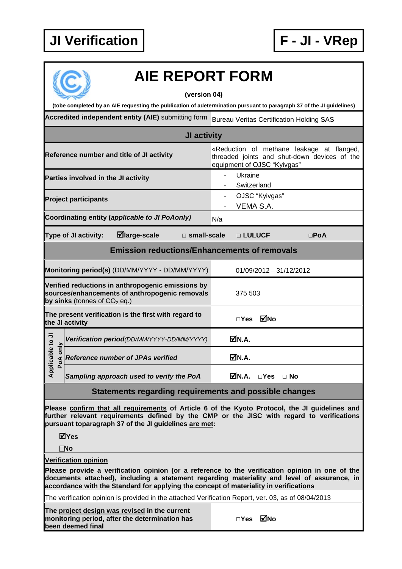## **JI Verification F - JI - VRep**



## **AIE REPORT FORM**

**(version 04)**

**(tobe completed by an AIE requesting the publication of adetermination pursuant to paragraph 37 of the JI guidelines)**

**Accredited independent entity (AIE)** submitting form Bureau Veritas Certification Holding SAS

| <b>JI</b> activity                             |                                                                                                                          |  |  |  |  |  |
|------------------------------------------------|--------------------------------------------------------------------------------------------------------------------------|--|--|--|--|--|
| Reference number and title of JI activity      | «Reduction of methane leakage at flanged,<br>threaded joints and shut-down devices of the<br>equipment of OJSC "Kyivgas" |  |  |  |  |  |
| Parties involved in the JI activity            | Ukraine<br>Switzerland                                                                                                   |  |  |  |  |  |
| <b>Project participants</b>                    | OJSC "Kyivgas"<br>VEMA S.A.                                                                                              |  |  |  |  |  |
| Coordinating entity (applicable to JI PoAonly) | N/a                                                                                                                      |  |  |  |  |  |

**Type of JI activity: large-scale □ small-scale □ LULUCF □PoA**

**Emission reductions/Enhancements of removals**

|                                                                                                                                       | Monitoring period(s) (DD/MM/YYYY - DD/MM/YYYY) | $01/09/2012 - 31/12/2012$ |  |  |
|---------------------------------------------------------------------------------------------------------------------------------------|------------------------------------------------|---------------------------|--|--|
| Verified reductions in anthropogenic emissions by<br>sources/enhancements of anthropogenic removals<br>by sinks (tonnes of $CO2$ eq.) |                                                | 375 503                   |  |  |
| The present verification is the first with regard to<br>the JI activity                                                               |                                                | MNo<br>$\sqcap$ Yes       |  |  |
| To 1<br>$\frac{5}{10}$<br>Applicable<br>PoA                                                                                           | Verification period(DD/MM/YYYY-DD/MM/YYYY)     | MM.A.                     |  |  |
|                                                                                                                                       | <b>Reference number of JPAs verified</b>       | MN.A.                     |  |  |
|                                                                                                                                       | Sampling approach used to verify the PoA       | $\sqcap$ Yes<br>⊟ No      |  |  |

**Statements regarding requirements and possible changes**

**Please confirm that all requirements of Article 6 of the Kyoto Protocol, the JI guidelines and further relevant requirements defined by the CMP or the JISC with regard to verifications pursuant toparagraph 37 of the JI guidelines are met:**

**Yes**

**No**

**Verification opinion**

**Please provide a verification opinion (or a reference to the verification opinion in one of the documents attached), including a statement regarding materiality and level of assurance, in accordance with the Standard for applying the concept of materiality in verifications**

The verification opinion is provided in the attached Verification Report, ver. 03, as of 08/04/2013

**The project design was revised in the current monitoring period, after the determination has been deemed final**

**□Yes No**